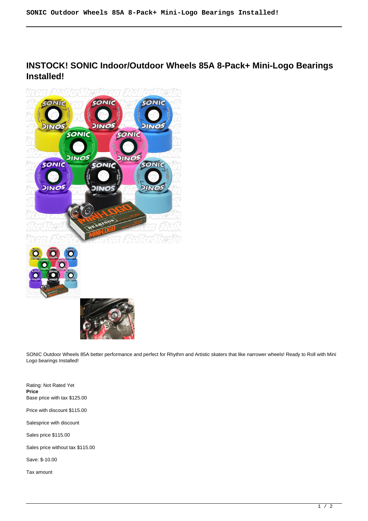# **INSTOCK! SONIC Indoor/Outdoor Wheels 85A 8-Pack+ Mini-Logo Bearings Installed!**



SONIC Outdoor Wheels 85A better performance and perfect for Rhythm and Artistic skaters that like narrower wheels! Ready to Roll with Mini Logo bearings Installed!

Rating: Not Rated Yet **Price**  Base price with tax \$125.00

Price with discount \$115.00

Salesprice with discount

Sales price \$115.00

Sales price without tax \$115.00

Save: \$-10.00

Tax amount